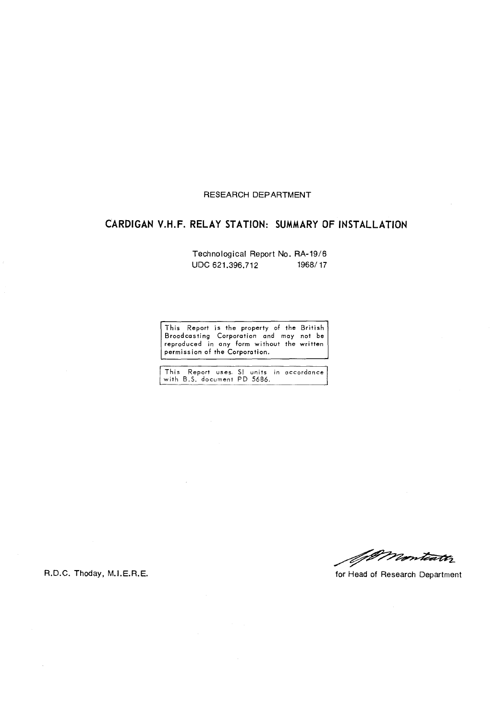# RESEARCH DEPARTMENT

# **CARDIGAN V.H.F. RELAY STATION: SUMMARY OF INSTALLATION**

Technological Report No. RA-19/6 UDC 621.396.712 1968/17

This Report is the property of the British Broodcasting Corporation and may not be reproduced in any form without the written permiss ion of the Corporation.

|                             |  |  | This Report uses. SI units in accordance |
|-----------------------------|--|--|------------------------------------------|
| with B.S. document PD 5686. |  |  |                                          |

Wonteath

R.D.C. Thoday, M.I.E.R.E. **for Franch American** for Head of Research Department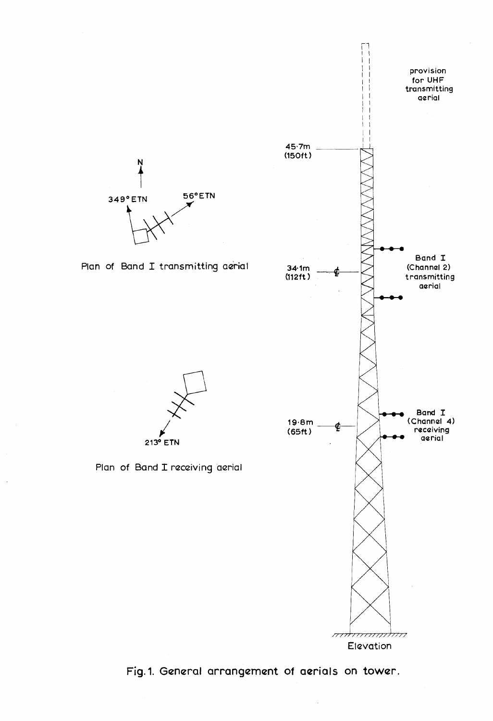

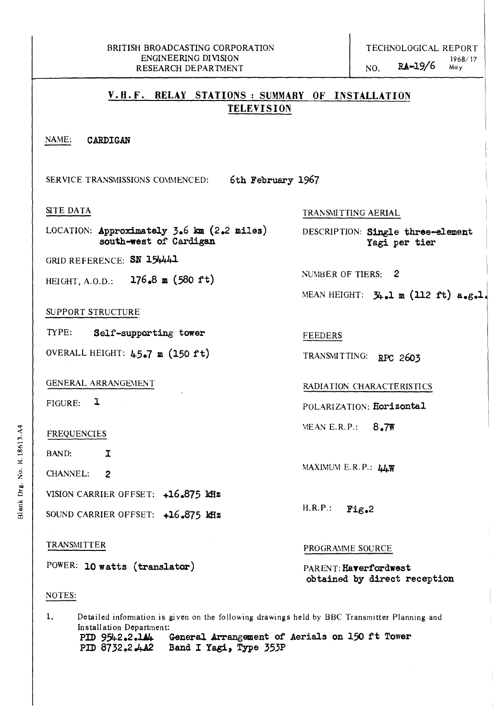### May

# **V.R.F. RELAY STATIONS: SUMMARY OF INSTALLATION TELEVISION**

### NAME: **CARDIGAN**

SERVICE TRANSMISSIONS COMMENCED: **6th February 1967** 

### SITE DATA

LOCATION: **Approximately 3.6 km (2.2 miles) south-west of** Cardigan

GRID REFERENCE: SN 154441

HEIGHT, A.O.D.: **176.8 m (580 ft)** 

## SUPPORT STRUCTURE

TYPE: **Self-supporting tower** 

OVERALL HEIGHT: **4.5.7 m (150 ft)** 

## GENERAL ARRANGEMENT

FIGURE: 1

### FREQUENCIES

BAND: I

CHANNEL: 2

VISION CARRIER OFFSET: **+16.875 kHz** 

SOUND CARRIER OFFSET: **+16.875 kHz** 

## TRANSMITTER

POWER: **10 watts (translator)** 

## NOTES:

1. Detailed information is given on the following drawings held by BBC Transmitter Planning and Installation Department:<br>PID 9542.2.144 PID 9542.2.1A<sub>4</sub> General Arrangement of Aerials on 150 ft Tower PID 8732.2.4A2 Band I Yagi, Type 353P **PlD** *8732.2.4A2* **Band I Yagi, Type 353P** 

# TRANSMITTING AERIAL

DESCRIPTION: **Single three-element Yagi per tier** 

NUMBER OF TIERS: 2

MEAN HEIGHT: **31+.1 m (1l2 ft) a.g.l** 

FEEDERS

TRANSMITTING: RPC 2603

## RADIATION CHARACTERISTICS

POLARIZATION: **Horizontal** 

MEAN E.R.P.: **8.7W** 

MAXIMUM E. R. P.: **44W** 

H.R.P.: **Fig.2** 

#### PROGRAMME SOURCE

PARENT: Haverfordwest **obtained by direct reception**